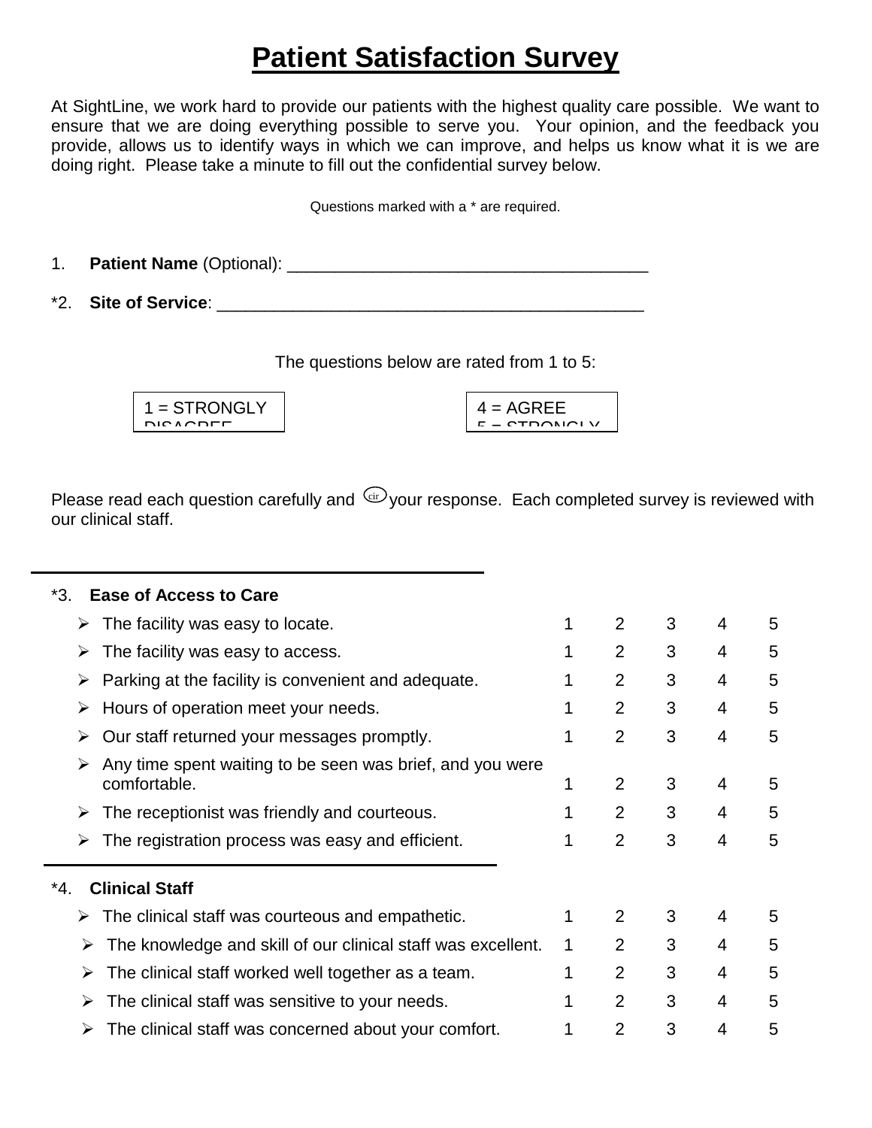## **Patient Satisfaction Survey**

At SightLine, we work hard to provide our patients with the highest quality care possible. We want to ensure that we are doing everything possible to serve you. Your opinion, and the feedback you provide, allows us to identify ways in which we can improve, and helps us know what it is we are doing right. Please take a minute to fill out the confidential survey below.

Questions marked with a \* are required.

1. **Patient Name** (Optional): \_\_\_\_\_\_\_\_\_\_\_\_\_\_\_\_\_\_\_\_\_\_\_\_\_\_\_\_\_\_\_\_\_\_\_\_\_\_

\*2. Site of Service: <u>and the service</u> of the service of the service of the service of the service of the service of the service of the service of the service of the service of the service of the service of the service of

The questions below are rated from 1 to 5:

| $1 =$ STRONGLY  |
|-----------------|
| <b>DIOAODEE</b> |
|                 |

|          | $4 = AGREE$ |
|----------|-------------|
| <b>P</b> | CTDONLOIV   |
|          |             |

cir Please read each question carefully and  $\frac{c}{w}$  your response. Each completed survey is reviewed with our clinical staff.

| <b>Ease of Access to Care</b><br>*3.                                      |   |                |   |   |   |  |  |  |  |  |
|---------------------------------------------------------------------------|---|----------------|---|---|---|--|--|--|--|--|
| The facility was easy to locate.<br>➤                                     | 1 | 2              | 3 | 4 | 5 |  |  |  |  |  |
| The facility was easy to access.<br>➤                                     |   | $\overline{2}$ | 3 | 4 | 5 |  |  |  |  |  |
| Parking at the facility is convenient and adequate.<br>➤                  |   | 2              | 3 | 4 | 5 |  |  |  |  |  |
| Hours of operation meet your needs.<br>➤                                  |   | 2              | 3 | 4 | 5 |  |  |  |  |  |
| Our staff returned your messages promptly.<br>➤                           | 1 | $\overline{2}$ | 3 | 4 | 5 |  |  |  |  |  |
| Any time spent waiting to be seen was brief, and you were<br>comfortable. |   | 2              | 3 | 4 | 5 |  |  |  |  |  |
| The receptionist was friendly and courteous.                              | 1 | 2              | 3 | 4 | 5 |  |  |  |  |  |
| The registration process was easy and efficient.<br>➤                     | 1 | $\overline{2}$ | 3 | 4 | 5 |  |  |  |  |  |
| <b>Clinical Staff</b><br>*4.                                              |   |                |   |   |   |  |  |  |  |  |
| The clinical staff was courteous and empathetic.<br>➤                     | 1 | $\overline{2}$ | 3 | 4 | 5 |  |  |  |  |  |
| The knowledge and skill of our clinical staff was excellent.<br>➤         | 1 | 2              | 3 | 4 | 5 |  |  |  |  |  |
| The clinical staff worked well together as a team.<br>➤                   | 1 | 2              | 3 | 4 | 5 |  |  |  |  |  |
| The clinical staff was sensitive to your needs.<br>➤                      |   | $\overline{2}$ | 3 | 4 | 5 |  |  |  |  |  |
| The clinical staff was concerned about your comfort.<br>➤                 |   | $\overline{2}$ | 3 | 4 | 5 |  |  |  |  |  |